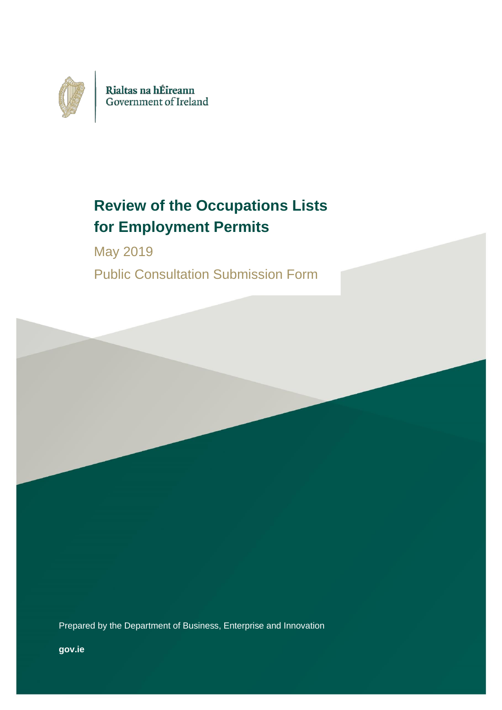

# **Review of the Occupations Lists for Employment Permits**

May 2019 Public Consultation Submission Form

Prepared by the Department of Business, Enterprise and Innovation

**gov.ie**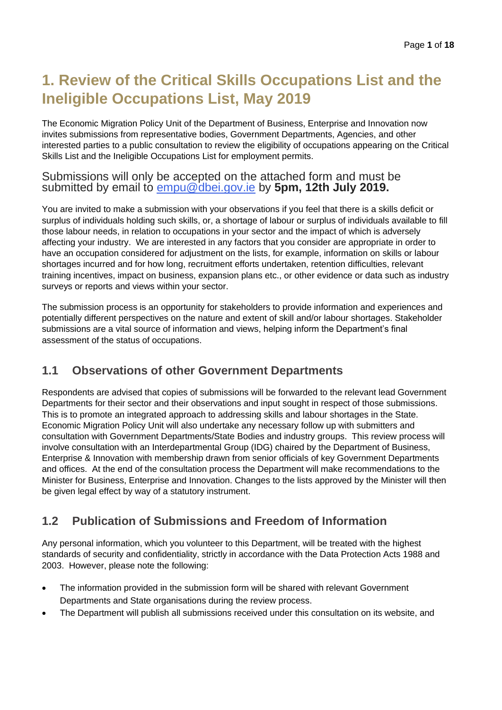## **1. Review of the Critical Skills Occupations List and the Ineligible Occupations List, May 2019**

The Economic Migration Policy Unit of the Department of Business, Enterprise and Innovation now invites submissions from representative bodies, Government Departments, Agencies, and other interested parties to a public consultation to review the eligibility of occupations appearing on the Critical Skills List and the Ineligible Occupations List for employment permits.

### Submissions will only be accepted on the attached form and must be submitted by email to [empu@dbei.gov.ie](mailto:empu@dbei.gov.ie) by **5pm, 12th July 2019.**

You are invited to make a submission with your observations if you feel that there is a skills deficit or surplus of individuals holding such skills, or, a shortage of labour or surplus of individuals available to fill those labour needs, in relation to occupations in your sector and the impact of which is adversely affecting your industry. We are interested in any factors that you consider are appropriate in order to have an occupation considered for adjustment on the lists, for example, information on skills or labour shortages incurred and for how long, recruitment efforts undertaken, retention difficulties, relevant training incentives, impact on business, expansion plans etc., or other evidence or data such as industry surveys or reports and views within your sector.

The submission process is an opportunity for stakeholders to provide information and experiences and potentially different perspectives on the nature and extent of skill and/or labour shortages. Stakeholder submissions are a vital source of information and views, helping inform the Department's final assessment of the status of occupations.

### **1.1 Observations of other Government Departments**

Respondents are advised that copies of submissions will be forwarded to the relevant lead Government Departments for their sector and their observations and input sought in respect of those submissions. This is to promote an integrated approach to addressing skills and labour shortages in the State. Economic Migration Policy Unit will also undertake any necessary follow up with submitters and consultation with Government Departments/State Bodies and industry groups. This review process will involve consultation with an Interdepartmental Group (IDG) chaired by the Department of Business, Enterprise & Innovation with membership drawn from senior officials of key Government Departments and offices. At the end of the consultation process the Department will make recommendations to the Minister for Business, Enterprise and Innovation. Changes to the lists approved by the Minister will then be given legal effect by way of a statutory instrument.

### **1.2 Publication of Submissions and Freedom of Information**

Any personal information, which you volunteer to this Department, will be treated with the highest standards of security and confidentiality, strictly in accordance with the Data Protection Acts 1988 and 2003. However, please note the following:

- The information provided in the submission form will be shared with relevant Government Departments and State organisations during the review process.
- The Department will publish all submissions received under this consultation on its website, and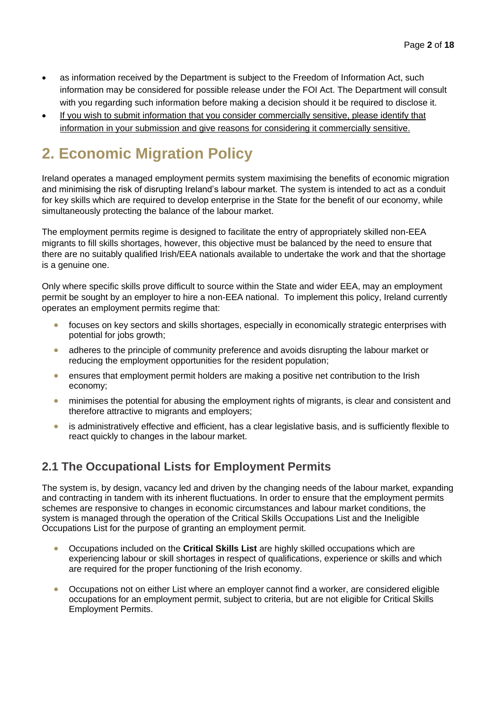- as information received by the Department is subject to the Freedom of Information Act, such information may be considered for possible release under the FOI Act. The Department will consult with you regarding such information before making a decision should it be required to disclose it.
- If you wish to submit information that you consider commercially sensitive, please identify that information in your submission and give reasons for considering it commercially sensitive.

# **2. Economic Migration Policy**

Ireland operates a managed employment permits system maximising the benefits of economic migration and minimising the risk of disrupting Ireland's labour market. The system is intended to act as a conduit for key skills which are required to develop enterprise in the State for the benefit of our economy, while simultaneously protecting the balance of the labour market.

The employment permits regime is designed to facilitate the entry of appropriately skilled non-EEA migrants to fill skills shortages, however, this objective must be balanced by the need to ensure that there are no suitably qualified Irish/EEA nationals available to undertake the work and that the shortage is a genuine one.

Only where specific skills prove difficult to source within the State and wider EEA, may an employment permit be sought by an employer to hire a non-EEA national. To implement this policy, Ireland currently operates an employment permits regime that:

- focuses on key sectors and skills shortages, especially in economically strategic enterprises with potential for jobs growth;
- adheres to the principle of community preference and avoids disrupting the labour market or reducing the employment opportunities for the resident population;
- ensures that employment permit holders are making a positive net contribution to the Irish economy;
- minimises the potential for abusing the employment rights of migrants, is clear and consistent and therefore attractive to migrants and employers;
- is administratively effective and efficient, has a clear legislative basis, and is sufficiently flexible to react quickly to changes in the labour market.

### **2.1 The Occupational Lists for Employment Permits**

The system is, by design, vacancy led and driven by the changing needs of the labour market, expanding and contracting in tandem with its inherent fluctuations. In order to ensure that the employment permits schemes are responsive to changes in economic circumstances and labour market conditions, the system is managed through the operation of the Critical Skills Occupations List and the Ineligible Occupations List for the purpose of granting an employment permit.

- Occupations included on the **Critical Skills List** are highly skilled occupations which are experiencing labour or skill shortages in respect of qualifications, experience or skills and which are required for the proper functioning of the Irish economy.
- Occupations not on either List where an employer cannot find a worker, are considered eligible occupations for an employment permit, subject to criteria, but are not eligible for Critical Skills Employment Permits.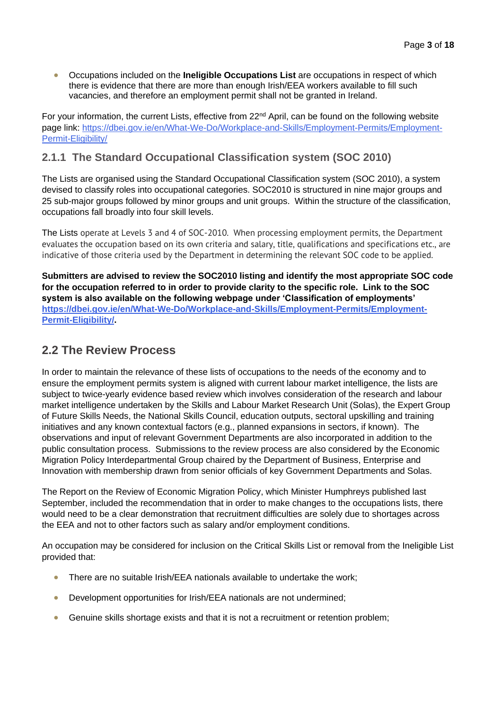• Occupations included on the **Ineligible Occupations List** are occupations in respect of which there is evidence that there are more than enough Irish/EEA workers available to fill such vacancies, and therefore an employment permit shall not be granted in Ireland.

For your information, the current Lists, effective from 22<sup>nd</sup> April, can be found on the following website page link: [https://dbei.gov.ie/en/What-We-Do/Workplace-and-Skills/Employment-Permits/Employment-](https://dbei.gov.ie/en/What-We-Do/Workplace-and-Skills/Employment-Permits/Employment-Permit-Eligibility/)[Permit-Eligibility/](https://dbei.gov.ie/en/What-We-Do/Workplace-and-Skills/Employment-Permits/Employment-Permit-Eligibility/)

### **2.1.1 The Standard Occupational Classification system (SOC 2010)**

The Lists are organised using the Standard Occupational Classification system (SOC 2010), a system devised to classify roles into occupational categories. SOC2010 is structured in nine major groups and 25 sub-major groups followed by minor groups and unit groups. Within the structure of the classification, occupations fall broadly into four skill levels.

The Lists operate at Levels 3 and 4 of SOC-2010. When processing employment permits, the Department evaluates the occupation based on its own criteria and salary, title, qualifications and specifications etc., are indicative of those criteria used by the Department in determining the relevant SOC code to be applied.

**Submitters are advised to review the SOC2010 listing and identify the most appropriate SOC code for the occupation referred to in order to provide clarity to the specific role. Link to the SOC system is also available on the following webpage under 'Classification of employments' [https://dbei.gov.ie/en/What-We-Do/Workplace-and-Skills/Employment-Permits/Employment-](https://dbei.gov.ie/en/What-We-Do/Workplace-and-Skills/Employment-Permits/Employment-Permit-Eligibility/)[Permit-Eligibility/.](https://dbei.gov.ie/en/What-We-Do/Workplace-and-Skills/Employment-Permits/Employment-Permit-Eligibility/)**

### **2.2 The Review Process**

In order to maintain the relevance of these lists of occupations to the needs of the economy and to ensure the employment permits system is aligned with current labour market intelligence, the lists are subject to twice-yearly evidence based review which involves consideration of the research and labour market intelligence undertaken by the Skills and Labour Market Research Unit (Solas), the Expert Group of Future Skills Needs, the National Skills Council, education outputs, sectoral upskilling and training initiatives and any known contextual factors (e.g., planned expansions in sectors, if known). The observations and input of relevant Government Departments are also incorporated in addition to the public consultation process. Submissions to the review process are also considered by the Economic Migration Policy Interdepartmental Group chaired by the Department of Business, Enterprise and Innovation with membership drawn from senior officials of key Government Departments and Solas.

The Report on the Review of Economic Migration Policy, which Minister Humphreys published last September, included the recommendation that in order to make changes to the occupations lists, there would need to be a clear demonstration that recruitment difficulties are solely due to shortages across the EEA and not to other factors such as salary and/or employment conditions.

An occupation may be considered for inclusion on the Critical Skills List or removal from the Ineligible List provided that:

- There are no suitable Irish/EEA nationals available to undertake the work;
- Development opportunities for Irish/EEA nationals are not undermined;
- Genuine skills shortage exists and that it is not a recruitment or retention problem;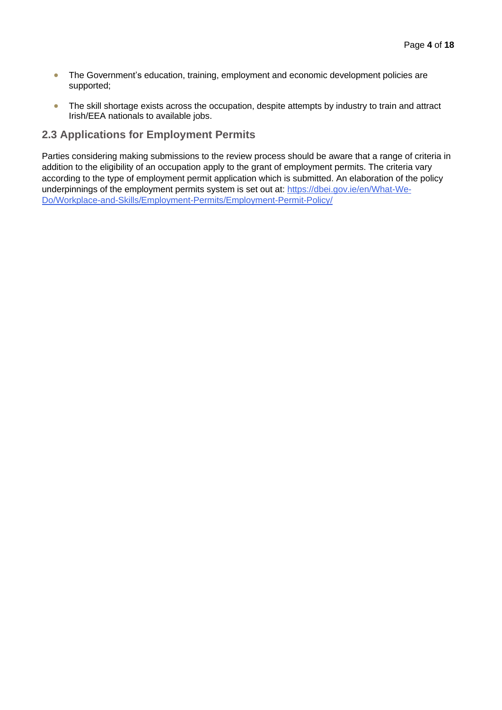- The Government's education, training, employment and economic development policies are supported;
- The skill shortage exists across the occupation, despite attempts by industry to train and attract Irish/EEA nationals to available jobs.

### **2.3 Applications for Employment Permits**

Parties considering making submissions to the review process should be aware that a range of criteria in addition to the eligibility of an occupation apply to the grant of employment permits. The criteria vary according to the type of employment permit application which is submitted. An elaboration of the policy underpinnings of the employment permits system is set out at: [https://dbei.gov.ie/en/What-We-](https://dbei.gov.ie/en/What-We-Do/Workplace-and-Skills/Employment-Permits/Employment-Permit-Policy/)[Do/Workplace-and-Skills/Employment-Permits/Employment-Permit-Policy/](https://dbei.gov.ie/en/What-We-Do/Workplace-and-Skills/Employment-Permits/Employment-Permit-Policy/)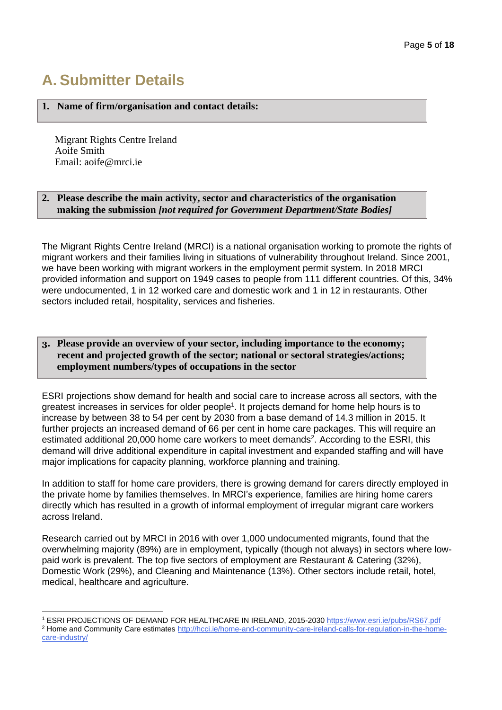# **A. Submitter Details**

#### **1. Name of firm/organisation and contact details:**

Migrant Rights Centre Ireland Aoife Smith Email: aoife@mrci.ie

#### **2. Please describe the main activity, sector and characteristics of the organisation making the submission** *[not required for Government Department/State Bodies]*

The Migrant Rights Centre Ireland (MRCI) is a national organisation working to promote the rights of migrant workers and their families living in situations of vulnerability throughout Ireland. Since 2001, we have been working with migrant workers in the employment permit system. In 2018 MRCI provided information and support on 1949 cases to people from 111 different countries. Of this, 34% were undocumented, 1 in 12 worked care and domestic work and 1 in 12 in restaurants. Other sectors included retail, hospitality, services and fisheries.

#### **3. Please provide an overview of your sector, including importance to the economy; recent and projected growth of the sector; national or sectoral strategies/actions; employment numbers/types of occupations in the sector**

ESRI projections show demand for health and social care to increase across all sectors, with the greatest increases in services for older people<sup>1</sup>. It projects demand for home help hours is to increase by between 38 to 54 per cent by 2030 from a base demand of 14.3 million in 2015. It further projects an increased demand of 66 per cent in home care packages. This will require an estimated additional 20,000 home care workers to meet demands<sup>2</sup>. According to the ESRI, this demand will drive additional expenditure in capital investment and expanded staffing and will have major implications for capacity planning, workforce planning and training.

In addition to staff for home care providers, there is growing demand for carers directly employed in the private home by families themselves. In MRCI's experience, families are hiring home carers directly which has resulted in a growth of informal employment of irregular migrant care workers across Ireland.

Research carried out by MRCI in 2016 with over 1,000 undocumented migrants, found that the overwhelming majority (89%) are in employment, typically (though not always) in sectors where lowpaid work is prevalent. The top five sectors of employment are Restaurant & Catering (32%), Domestic Work (29%), and Cleaning and Maintenance (13%). Other sectors include retail, hotel, medical, healthcare and agriculture.

<sup>1</sup> ESRI PROJECTIONS OF DEMAND FOR HEALTHCARE IN IRELAND, 2015-203[0 https://www.esri.ie/pubs/RS67.pdf](https://www.esri.ie/pubs/RS67.pdf)

<sup>2</sup> Home and Community Care estimate[s http://hcci.ie/home-and-community-care-ireland-calls-for-regulation-in-the-home](http://hcci.ie/home-and-community-care-ireland-calls-for-regulation-in-the-home-care-industry/)[care-industry/](http://hcci.ie/home-and-community-care-ireland-calls-for-regulation-in-the-home-care-industry/)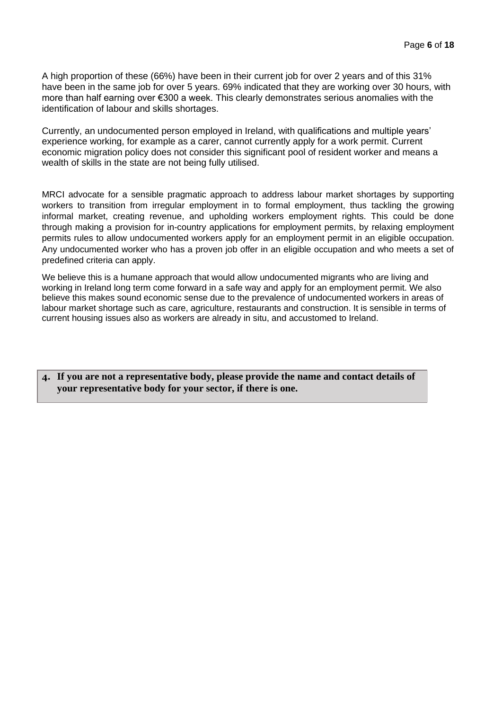A high proportion of these (66%) have been in their current job for over 2 years and of this 31% have been in the same job for over 5 years. 69% indicated that they are working over 30 hours, with more than half earning over €300 a week. This clearly demonstrates serious anomalies with the identification of labour and skills shortages.

Currently, an undocumented person employed in Ireland, with qualifications and multiple years' experience working, for example as a carer, cannot currently apply for a work permit. Current economic migration policy does not consider this significant pool of resident worker and means a wealth of skills in the state are not being fully utilised.

MRCI advocate for a sensible pragmatic approach to address labour market shortages by supporting workers to transition from irregular employment in to formal employment, thus tackling the growing informal market, creating revenue, and upholding workers employment rights. This could be done through making a provision for in-country applications for employment permits, by relaxing employment permits rules to allow undocumented workers apply for an employment permit in an eligible occupation. Any undocumented worker who has a proven job offer in an eligible occupation and who meets a set of predefined criteria can apply.

We believe this is a humane approach that would allow undocumented migrants who are living and working in Ireland long term come forward in a safe way and apply for an employment permit. We also believe this makes sound economic sense due to the prevalence of undocumented workers in areas of labour market shortage such as care, agriculture, restaurants and construction. It is sensible in terms of current housing issues also as workers are already in situ, and accustomed to Ireland.

**4. If you are not a representative body, please provide the name and contact details of your representative body for your sector, if there is one.**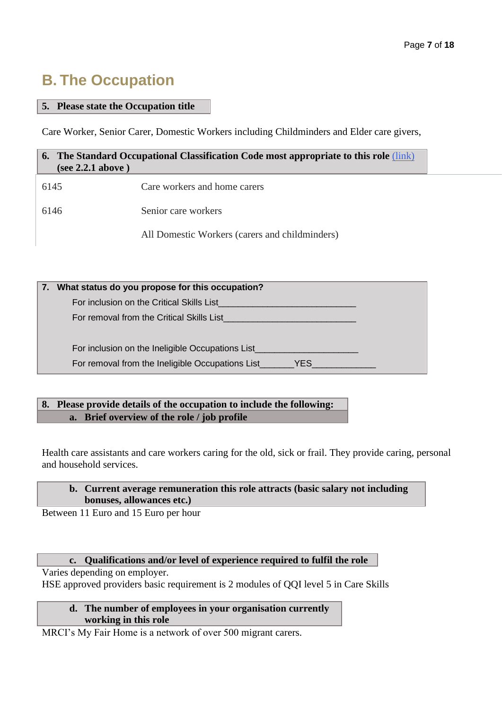## **B. The Occupation**

#### **5. Please state the Occupation title**

Care Worker, Senior Carer, Domestic Workers including Childminders and Elder care givers,

| (see 2.2.1 above) | <b>6.</b> The Standard Occupational Classification Code most appropriate to this role (link) |
|-------------------|----------------------------------------------------------------------------------------------|
| 6145              | Care workers and home carers                                                                 |
| 6146              | Senior care workers                                                                          |
|                   | All Domestic Workers (carers and childminders)                                               |

| 7. What status do you propose for this occupation? |
|----------------------------------------------------|
| For inclusion on the Critical Skills List          |
| For removal from the Critical Skills List          |
|                                                    |
| For inclusion on the Ineligible Occupations List   |
|                                                    |

### **8. Please provide details of the occupation to include the following: a. Brief overview of the role / job profile**

Health care assistants and care workers caring for the old, sick or frail. They provide caring, personal and household services.

#### **b. Current average remuneration this role attracts (basic salary not including bonuses, allowances etc.)**

Between 11 Euro and 15 Euro per hour

#### **c. Qualifications and/or level of experience required to fulfil the role**

Varies depending on employer. HSE approved providers basic requirement is 2 modules of QQI level 5 in Care Skills

#### **d. The number of employees in your organisation currently working in this role**

MRCI's My Fair Home is a network of over 500 migrant carers.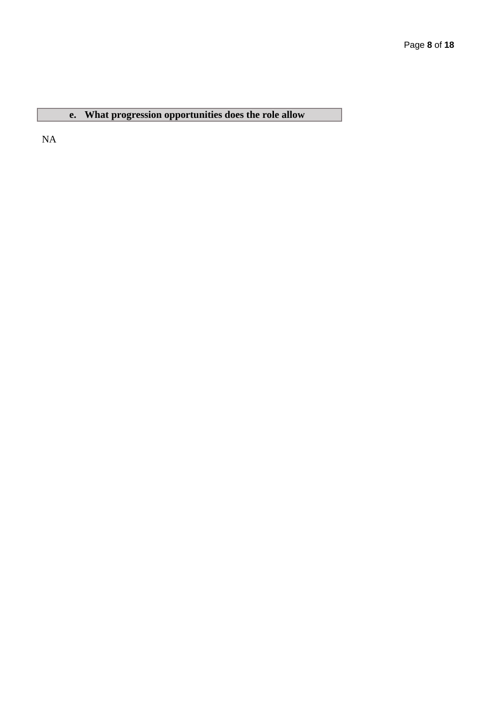### **e. What progression opportunities does the role allow**

NA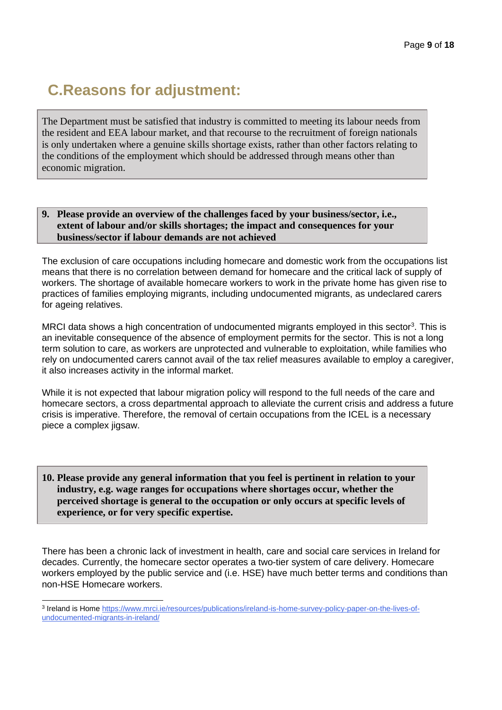# **C.Reasons for adjustment:**

The Department must be satisfied that industry is committed to meeting its labour needs from the resident and EEA labour market, and that recourse to the recruitment of foreign nationals is only undertaken where a genuine skills shortage exists, rather than other factors relating to the conditions of the employment which should be addressed through means other than economic migration.

#### **9. Please provide an overview of the challenges faced by your business/sector, i.e., extent of labour and/or skills shortages; the impact and consequences for your business/sector if labour demands are not achieved**

The exclusion of care occupations including homecare and domestic work from the occupations list means that there is no correlation between demand for homecare and the critical lack of supply of workers. The shortage of available homecare workers to work in the private home has given rise to practices of families employing migrants, including undocumented migrants, as undeclared carers for ageing relatives.

MRCI data shows a high concentration of undocumented migrants employed in this sector<sup>3</sup>. This is an inevitable consequence of the absence of employment permits for the sector. This is not a long term solution to care, as workers are unprotected and vulnerable to exploitation, while families who rely on undocumented carers cannot avail of the tax relief measures available to employ a caregiver, it also increases activity in the informal market.

While it is not expected that labour migration policy will respond to the full needs of the care and homecare sectors, a cross departmental approach to alleviate the current crisis and address a future crisis is imperative. Therefore, the removal of certain occupations from the ICEL is a necessary piece a complex jigsaw.

#### **10. Please provide any general information that you feel is pertinent in relation to your industry, e.g. wage ranges for occupations where shortages occur, whether the perceived shortage is general to the occupation or only occurs at specific levels of experience, or for very specific expertise.**

There has been a chronic lack of investment in health, care and social care services in Ireland for decades. Currently, the homecare sector operates a two-tier system of care delivery. Homecare workers employed by the public service and (i.e. HSE) have much better terms and conditions than non-HSE Homecare workers.

<sup>&</sup>lt;sup>3</sup> Ireland is Home [https://www.mrci.ie/resources/publications/ireland-is-home-survey-policy-paper-on-the-lives-of](https://www.mrci.ie/resources/publications/ireland-is-home-survey-policy-paper-on-the-lives-of-undocumented-migrants-in-ireland/)[undocumented-migrants-in-ireland/](https://www.mrci.ie/resources/publications/ireland-is-home-survey-policy-paper-on-the-lives-of-undocumented-migrants-in-ireland/)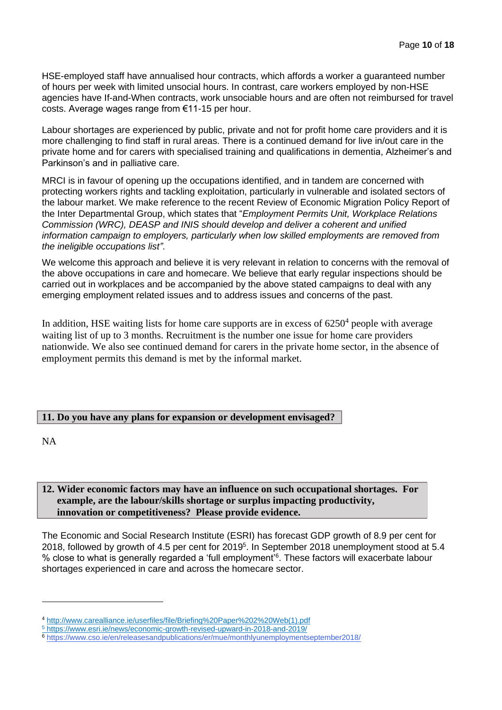HSE-employed staff have annualised hour contracts, which affords a worker a guaranteed number of hours per week with limited unsocial hours. In contrast, care workers employed by non-HSE agencies have If-and-When contracts, work unsociable hours and are often not reimbursed for travel costs. Average wages range from €11-15 per hour.

Labour shortages are experienced by public, private and not for profit home care providers and it is more challenging to find staff in rural areas. There is a continued demand for live in/out care in the private home and for carers with specialised training and qualifications in dementia, Alzheimer's and Parkinson's and in palliative care.

MRCI is in favour of opening up the occupations identified, and in tandem are concerned with protecting workers rights and tackling exploitation, particularly in vulnerable and isolated sectors of the labour market. We make reference to the recent Review of Economic Migration Policy Report of the Inter Departmental Group, which states that "*Employment Permits Unit, Workplace Relations Commission (WRC), DEASP and INIS should develop and deliver a coherent and unified information campaign to employers, particularly when low skilled employments are removed from the ineligible occupations list"*.

We welcome this approach and believe it is very relevant in relation to concerns with the removal of the above occupations in care and homecare. We believe that early regular inspections should be carried out in workplaces and be accompanied by the above stated campaigns to deal with any emerging employment related issues and to address issues and concerns of the past.

In addition, HSE waiting lists for home care supports are in excess of  $6250<sup>4</sup>$  people with average waiting list of up to 3 months. Recruitment is the number one issue for home care providers nationwide. We also see continued demand for carers in the private home sector, in the absence of employment permits this demand is met by the informal market.

#### **11. Do you have any plans for expansion or development envisaged?**

NA

#### **12. Wider economic factors may have an influence on such occupational shortages. For example, are the labour/skills shortage or surplus impacting productivity, innovation or competitiveness? Please provide evidence.**

The Economic and Social Research Institute (ESRI) has forecast GDP growth of 8.9 per cent for 2018, followed by growth of 4.5 per cent for 2019<sup>5</sup>. In September 2018 unemployment stood at 5.4 % close to what is generally regarded a 'full employment'<sup>6</sup> . These factors will exacerbate labour shortages experienced in care and across the homecare sector.

<sup>4</sup> http://www.carealliance.ie/userfiles/file/Briefing%20Paper%202%20Web(1).pdf

<sup>5</sup> <https://www.esri.ie/news/economic-growth-revised-upward-in-2018-and-2019/>

<sup>6</sup> <https://www.cso.ie/en/releasesandpublications/er/mue/monthlyunemploymentseptember2018/>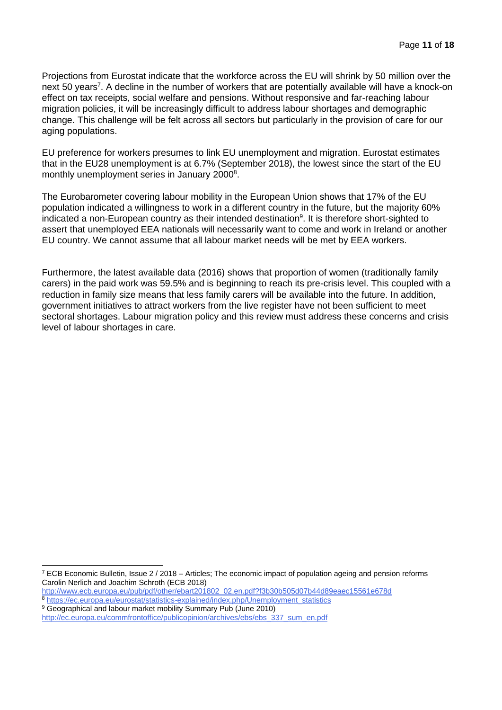Projections from Eurostat indicate that the workforce across the EU will shrink by 50 million over the next 50 years<sup>7</sup>. A decline in the number of workers that are potentially available will have a knock-on effect on tax receipts, social welfare and pensions. Without responsive and far-reaching labour migration policies, it will be increasingly difficult to address labour shortages and demographic change. This challenge will be felt across all sectors but particularly in the provision of care for our aging populations.

EU preference for workers presumes to link EU unemployment and migration. Eurostat estimates that in the EU28 unemployment is at 6.7% (September 2018), the lowest since the start of the EU monthly unemployment series in January 2000<sup>8</sup>.

The Eurobarometer covering labour mobility in the European Union shows that 17% of the EU population indicated a willingness to work in a different country in the future, but the majority 60% indicated a non-European country as their intended destination<sup>9</sup>. It is therefore short-sighted to assert that unemployed EEA nationals will necessarily want to come and work in Ireland or another EU country. We cannot assume that all labour market needs will be met by EEA workers.

Furthermore, the latest available data (2016) shows that proportion of women (traditionally family carers) in the paid work was 59.5% and is beginning to reach its pre-crisis level. This coupled with a reduction in family size means that less family carers will be available into the future. In addition, government initiatives to attract workers from the live register have not been sufficient to meet sectoral shortages. Labour migration policy and this review must address these concerns and crisis level of labour shortages in care.

<sup>7</sup> ECB Economic Bulletin, Issue 2 / 2018 – Articles; The economic impact of population ageing and pension reforms Carolin Nerlich and Joachim Schroth (ECB 2018)

[http://www.ecb.europa.eu/pub/pdf/other/ebart201802\\_02.en.pdf?f3b30b505d07b44d89eaec15561e678d](http://www.ecb.europa.eu/pub/pdf/other/ebart201802_02.en.pdf?f3b30b505d07b44d89eaec15561e678d)

<sup>8</sup> [https://ec.europa.eu/eurostat/statistics-explained/index.php/Unemployment\\_statistics](https://ec.europa.eu/eurostat/statistics-explained/index.php/Unemployment_statistics) <sup>9</sup> Geographical and labour market mobility Summary Pub (June 2010)

[http://ec.europa.eu/commfrontoffice/publicopinion/archives/ebs/ebs\\_337\\_sum\\_en.pdf](http://ec.europa.eu/commfrontoffice/publicopinion/archives/ebs/ebs_337_sum_en.pdf)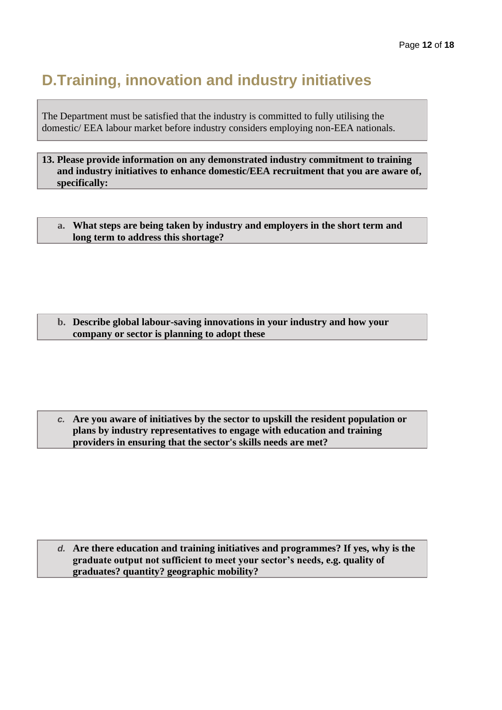## **D.Training, innovation and industry initiatives**

The Department must be satisfied that the industry is committed to fully utilising the domestic/ EEA labour market before industry considers employing non-EEA nationals.

**13. Please provide information on any demonstrated industry commitment to training and industry initiatives to enhance domestic/EEA recruitment that you are aware of, specifically:**

**a. What steps are being taken by industry and employers in the short term and long term to address this shortage?** 

**b. Describe global labour-saving innovations in your industry and how your company or sector is planning to adopt these**

*c.* **Are you aware of initiatives by the sector to upskill the resident population or plans by industry representatives to engage with education and training providers in ensuring that the sector's skills needs are met?**

*d.* **Are there education and training initiatives and programmes? If yes, why is the graduate output not sufficient to meet your sector's needs, e.g. quality of graduates? quantity? geographic mobility?**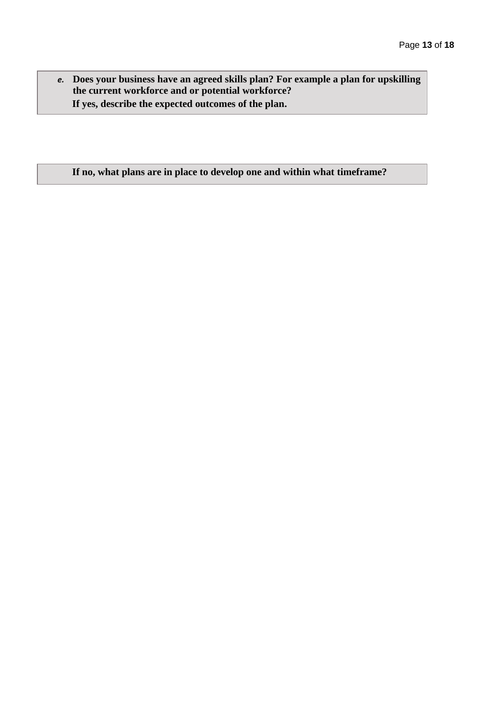*e.* **Does your business have an agreed skills plan? For example a plan for upskilling the current workforce and or potential workforce? If yes, describe the expected outcomes of the plan.**

#### **If no, what plans are in place to develop one and within what timeframe?**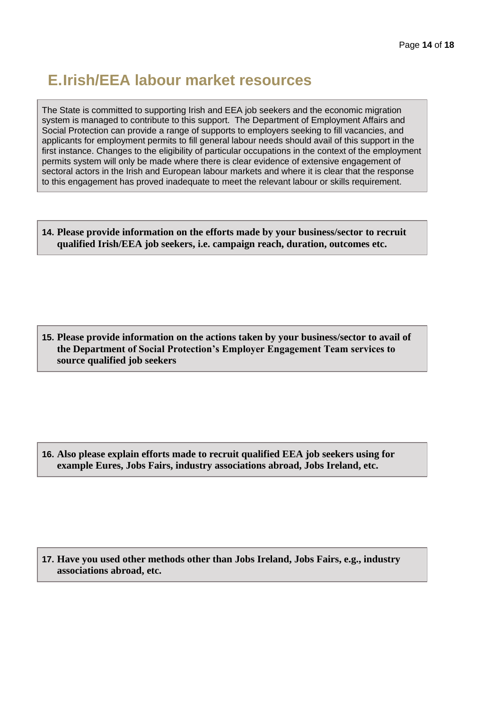## **E.Irish/EEA labour market resources**

The State is committed to supporting Irish and EEA job seekers and the economic migration system is managed to contribute to this support. The Department of Employment Affairs and Social Protection can provide a range of supports to employers seeking to fill vacancies, and applicants for employment permits to fill general labour needs should avail of this support in the first instance. Changes to the eligibility of particular occupations in the context of the employment permits system will only be made where there is clear evidence of extensive engagement of sectoral actors in the Irish and European labour markets and where it is clear that the response to this engagement has proved inadequate to meet the relevant labour or skills requirement.

**14. Please provide information on the efforts made by your business/sector to recruit qualified Irish/EEA job seekers, i.e. campaign reach, duration, outcomes etc.**

**15. Please provide information on the actions taken by your business/sector to avail of the Department of Social Protection's Employer Engagement Team services to source qualified job seekers**

**16. Also please explain efforts made to recruit qualified EEA job seekers using for example Eures, Jobs Fairs, industry associations abroad, Jobs Ireland, etc.** 

**17. Have you used other methods other than Jobs Ireland, Jobs Fairs, e.g., industry associations abroad, etc.**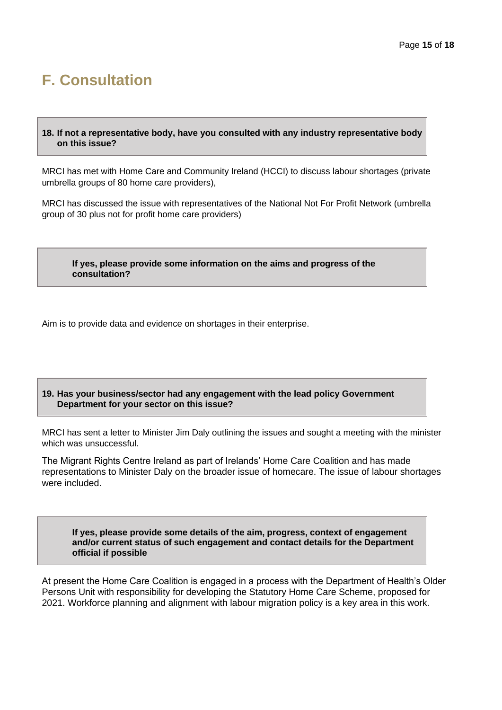## **F. Consultation**

#### **18. If not a representative body, have you consulted with any industry representative body on this issue?**

MRCI has met with Home Care and Community Ireland (HCCI) to discuss labour shortages (private umbrella groups of 80 home care providers),

MRCI has discussed the issue with representatives of the National Not For Profit Network (umbrella group of 30 plus not for profit home care providers)

**If yes, please provide some information on the aims and progress of the consultation?**

Aim is to provide data and evidence on shortages in their enterprise.

#### **19. Has your business/sector had any engagement with the lead policy Government Department for your sector on this issue?**

MRCI has sent a letter to Minister Jim Daly outlining the issues and sought a meeting with the minister which was unsuccessful.

The Migrant Rights Centre Ireland as part of Irelands' Home Care Coalition and has made representations to Minister Daly on the broader issue of homecare. The issue of labour shortages were included.

**If yes, please provide some details of the aim, progress, context of engagement and/or current status of such engagement and contact details for the Department official if possible**

At present the Home Care Coalition is engaged in a process with the Department of Health's Older Persons Unit with responsibility for developing the Statutory Home Care Scheme, proposed for 2021. Workforce planning and alignment with labour migration policy is a key area in this work.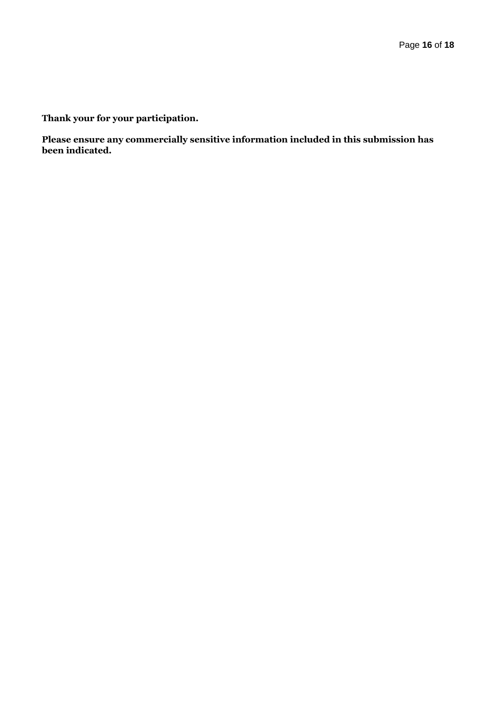**Thank your for your participation.**

**Please ensure any commercially sensitive information included in this submission has been indicated.**